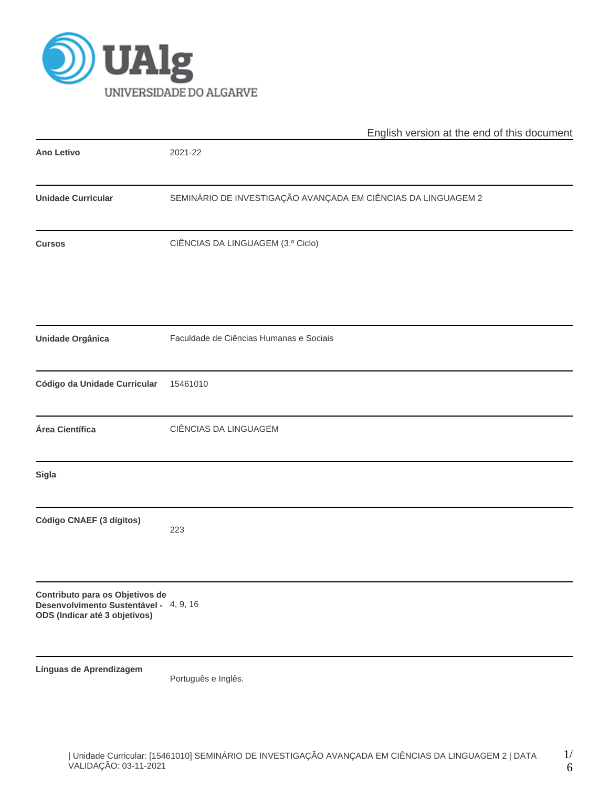

|                                                                                                            | English version at the end of this document                   |
|------------------------------------------------------------------------------------------------------------|---------------------------------------------------------------|
| <b>Ano Letivo</b>                                                                                          | 2021-22                                                       |
| <b>Unidade Curricular</b>                                                                                  | SEMINÁRIO DE INVESTIGAÇÃO AVANÇADA EM CIÊNCIAS DA LINGUAGEM 2 |
| <b>Cursos</b>                                                                                              | CIÊNCIAS DA LINGUAGEM (3.º Ciclo)                             |
| <b>Unidade Orgânica</b>                                                                                    | Faculdade de Ciências Humanas e Sociais                       |
| Código da Unidade Curricular                                                                               | 15461010                                                      |
| Área Científica                                                                                            | CIÊNCIAS DA LINGUAGEM                                         |
| Sigla                                                                                                      |                                                               |
| Código CNAEF (3 dígitos)                                                                                   | 223                                                           |
| Contributo para os Objetivos de<br>Desenvolvimento Sustentável - 4, 9, 16<br>ODS (Indicar até 3 objetivos) |                                                               |
| Línguas de Aprendizagem                                                                                    | Português e Inglês.                                           |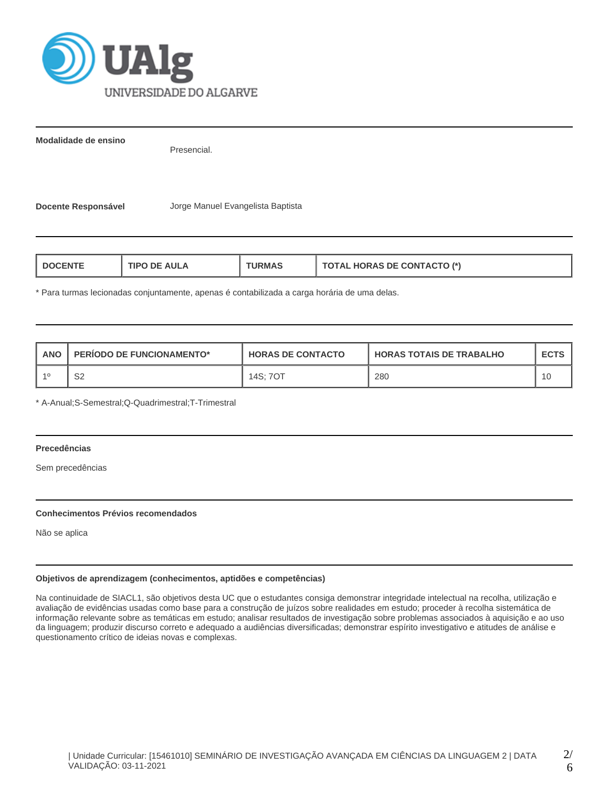

**Modalidade de ensino**

Presencial.

**Docente Responsável** Jorge Manuel Evangelista Baptista

| <b>TOTAL HORAS DE CONTACTO (*)</b><br>TIPO DE AULA<br>L DOCENTE<br>'JRMAS |  |
|---------------------------------------------------------------------------|--|
|---------------------------------------------------------------------------|--|

\* Para turmas lecionadas conjuntamente, apenas é contabilizada a carga horária de uma delas.

| <b>ANO</b> | <b>PERIODO DE FUNCIONAMENTO*</b> | <b>HORAS DE CONTACTO</b> | <b>I HORAS TOTAIS DE TRABALHO</b> | <b>ECTS</b> |
|------------|----------------------------------|--------------------------|-----------------------------------|-------------|
|            | cי<br>ےت                         | 14S: 70T                 | 280                               |             |

\* A-Anual;S-Semestral;Q-Quadrimestral;T-Trimestral

# **Precedências**

Sem precedências

## **Conhecimentos Prévios recomendados**

Não se aplica

## **Objetivos de aprendizagem (conhecimentos, aptidões e competências)**

Na continuidade de SIACL1, são objetivos desta UC que o estudantes consiga demonstrar integridade intelectual na recolha, utilização e avaliação de evidências usadas como base para a construção de juízos sobre realidades em estudo; proceder à recolha sistemática de informação relevante sobre as temáticas em estudo; analisar resultados de investigação sobre problemas associados à aquisição e ao uso da linguagem; produzir discurso correto e adequado a audiências diversificadas; demonstrar espírito investigativo e atitudes de análise e questionamento crítico de ideias novas e complexas.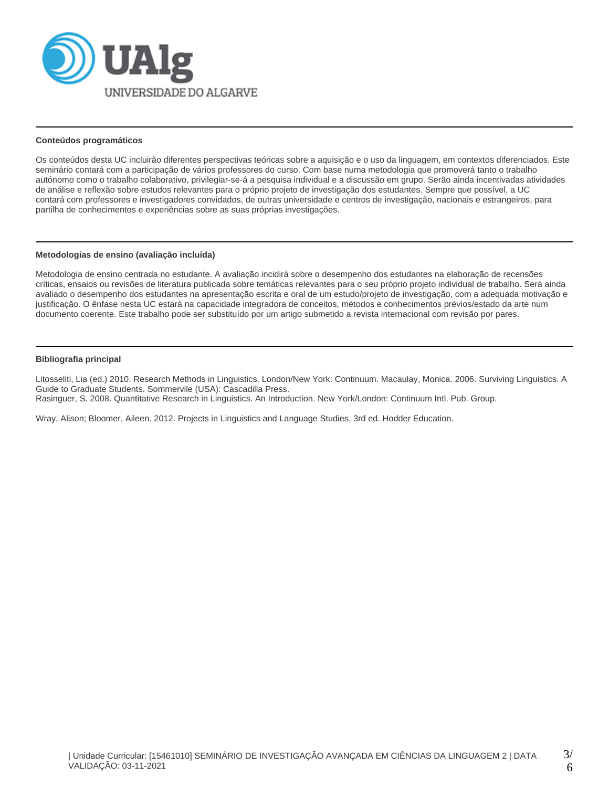

#### **Conteúdos programáticos**

Os conteúdos desta UC incluirão diferentes perspectivas teóricas sobre a aquisição e o uso da linguagem, em contextos diferenciados. Este seminário contará com a participação de vários professores do curso. Com base numa metodologia que promoverá tanto o trabalho autónomo como o trabalho colaborativo, privilegiar-se-á a pesquisa individual e a discussão em grupo. Serão ainda incentivadas atividades de análise e reflexão sobre estudos relevantes para o próprio projeto de investigação dos estudantes. Sempre que possível, a UC contará com professores e investigadores convidados, de outras universidade e centros de investigação, nacionais e estrangeiros, para partilha de conhecimentos e experiências sobre as suas próprias investigações.

## **Metodologias de ensino (avaliação incluída)**

Metodologia de ensino centrada no estudante. A avaliação incidirá sobre o desempenho dos estudantes na elaboração de recensões críticas, ensaios ou revisões de literatura publicada sobre temáticas relevantes para o seu próprio projeto individual de trabalho. Será ainda avaliado o desempenho dos estudantes na apresentação escrita e oral de um estudo/projeto de investigação, com a adequada motivação e justificação. O ênfase nesta UC estará na capacidade integradora de conceitos, métodos e conhecimentos prévios/estado da arte num documento coerente. Este trabalho pode ser substituído por um artigo submetido a revista internacional com revisão por pares.

#### **Bibliografia principal**

Litosseliti, Lia (ed.) 2010. Research Methods in Linguistics. London/New York: Continuum. Macaulay, Monica. 2006. Surviving Linguistics. A Guide to Graduate Students. Sommervile (USA): Cascadilla Press. Rasinguer, S. 2008. Quantitative Research in Linguistics. An Introduction. New York/London: Continuum Intl. Pub. Group.

Wray, Alison; Bloomer, Aileen. 2012. Projects in Linguistics and Language Studies, 3rd ed. Hodder Education.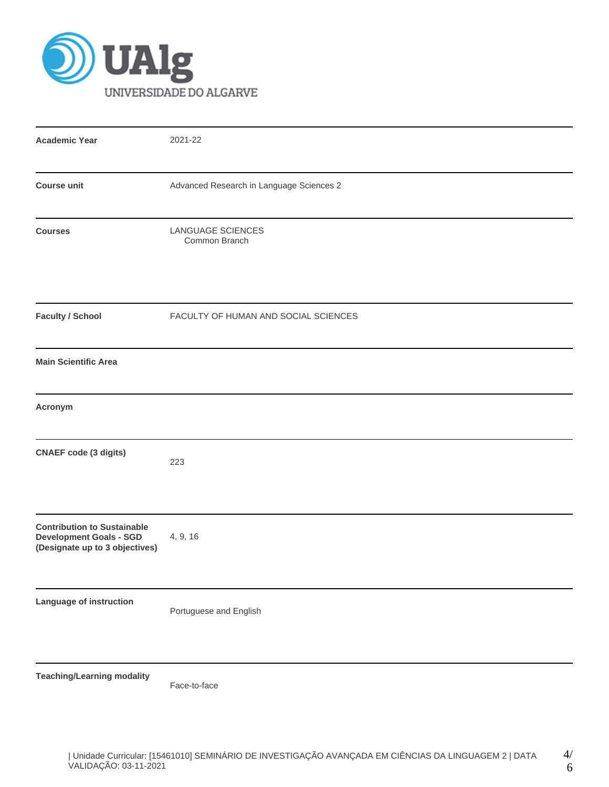

| <b>Academic Year</b>                                                                                   | 2021-22                                  |
|--------------------------------------------------------------------------------------------------------|------------------------------------------|
| <b>Course unit</b>                                                                                     | Advanced Research in Language Sciences 2 |
| <b>Courses</b>                                                                                         | LANGUAGE SCIENCES<br>Common Branch       |
| <b>Faculty / School</b>                                                                                | FACULTY OF HUMAN AND SOCIAL SCIENCES     |
| <b>Main Scientific Area</b>                                                                            |                                          |
| Acronym                                                                                                |                                          |
| <b>CNAEF code (3 digits)</b>                                                                           | 223                                      |
| <b>Contribution to Sustainable</b><br><b>Development Goals - SGD</b><br>(Designate up to 3 objectives) | 4, 9, 16                                 |
| Language of instruction                                                                                | Portuguese and English                   |
| <b>Teaching/Learning modality</b>                                                                      | Face-to-face                             |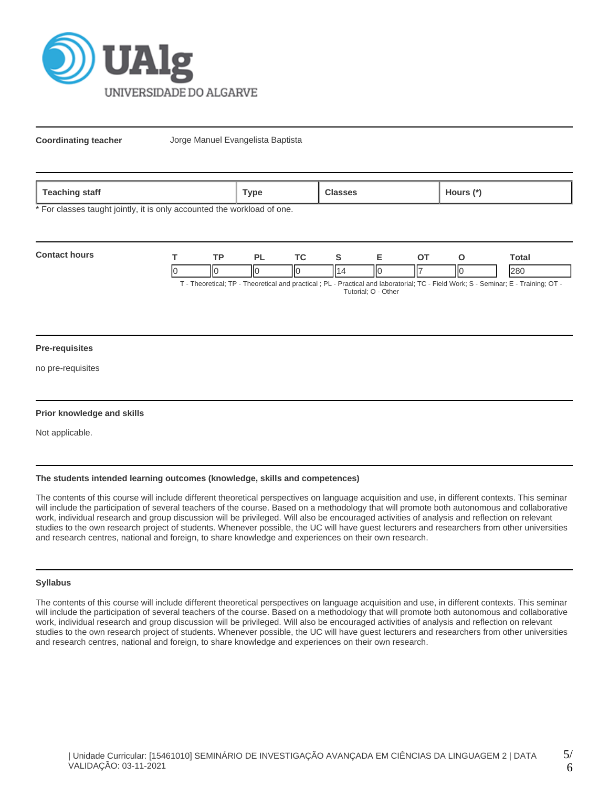

**Coordinating teacher** Jorge Manuel Evangelista Baptista

\* For classes taught jointly, it is only accounted the workload of one.

| <b>Contact hours</b> |   |    |    |     | `otal                                                                                                                        |
|----------------------|---|----|----|-----|------------------------------------------------------------------------------------------------------------------------------|
|                      | Ш | IЮ | IЮ | IІC | 280                                                                                                                          |
|                      |   |    |    |     | T. Theoretical TD. Theoretical and proofisel (DI). Droptical and laboraterial: TO, Field Warles C, Comings (F, Training: OT) |

T - Theoretical; TP - Theoretical and practical ; PL - Practical and laboratorial; TC - Field Work; S - Seminar; E - Training; OT - Tutorial; O - Other

## **Pre-requisites**

no pre-requisites

## **Prior knowledge and skills**

Not applicable.

## **The students intended learning outcomes (knowledge, skills and competences)**

The contents of this course will include different theoretical perspectives on language acquisition and use, in different contexts. This seminar will include the participation of several teachers of the course. Based on a methodology that will promote both autonomous and collaborative work, individual research and group discussion will be privileged. Will also be encouraged activities of analysis and reflection on relevant studies to the own research project of students. Whenever possible, the UC will have guest lecturers and researchers from other universities and research centres, national and foreign, to share knowledge and experiences on their own research.

## **Syllabus**

The contents of this course will include different theoretical perspectives on language acquisition and use, in different contexts. This seminar will include the participation of several teachers of the course. Based on a methodology that will promote both autonomous and collaborative work, individual research and group discussion will be privileged. Will also be encouraged activities of analysis and reflection on relevant studies to the own research project of students. Whenever possible, the UC will have guest lecturers and researchers from other universities and research centres, national and foreign, to share knowledge and experiences on their own research.